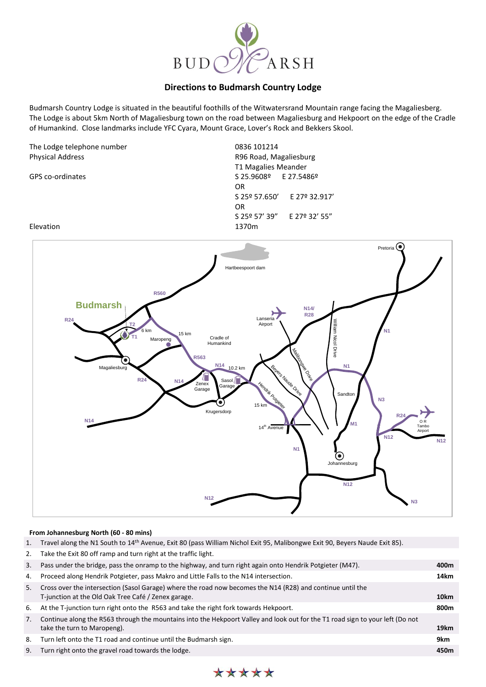

## **Directions to Budmarsh Country Lodge**

Budmarsh Country Lodge is situated in the beautiful foothills of the Witwatersrand Mountain range facing the Magaliesberg. The Lodge is about 5km North of Magaliesburg town on the road between Magaliesburg and Hekpoort on the edge of the Cradle of Humankind. Close landmarks include YFC Cyara, Mount Grace, Lover's Rock and Bekkers Skool.

| The Lodge telephone number |  |
|----------------------------|--|
| <b>Physical Address</b>    |  |

0836 101214 Physical Address R96 Road, Magaliesburg T1 Magalies Meander GPS co-ordinates S 25.9608º E 27.5486º OR S 25º 57.650' E 27º 32.917' OR S 25º 57' 39" E 27º 32' 55"

## Elevation 1370m



## **From Johannesburg North (60 - 80 mins)**

- 1. Travel along the N1 South to 14th Avenue, Exit 80 (pass William Nichol Exit 95, Malibongwe Exit 90, Beyers Naude Exit 85).
- 2. Take the Exit 80 off ramp and turn right at the traffic light.

| 3. | Pass under the bridge, pass the onramp to the highway, and turn right again onto Hendrik Potgieter (M47).                                                         | 400m |
|----|-------------------------------------------------------------------------------------------------------------------------------------------------------------------|------|
| 4. | Proceed along Hendrik Potgieter, pass Makro and Little Falls to the N14 intersection.                                                                             | 14km |
| 5. | Cross over the intersection (Sasol Garage) where the road now becomes the N14 (R28) and continue until the<br>T-junction at the Old Oak Tree Café / Zenex garage. | 10km |
| 6. | At the T-junction turn right onto the R563 and take the right fork towards Hekpoort.                                                                              | 800m |
| 7. | Continue along the R563 through the mountains into the Hekpoort Valley and look out for the T1 road sign to your left (Do not<br>take the turn to Maropeng).      | 19km |
| 8. | Turn left onto the T1 road and continue until the Budmarsh sign.                                                                                                  | 9km  |
| 9. | Turn right onto the gravel road towards the lodge.                                                                                                                | 450m |